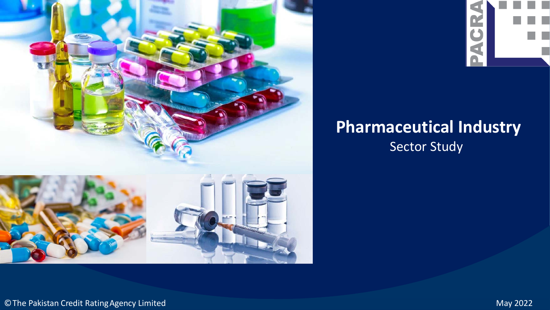



## **Pharmaceutical Industry** Sector Study

©The Pakistan Credit RatingAgency Limited May 2022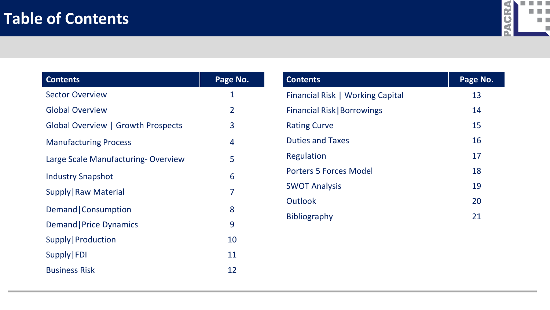

| <b>Contents</b>                    | Page No.       |
|------------------------------------|----------------|
| <b>Sector Overview</b>             | 1              |
| <b>Global Overview</b>             | $\overline{2}$ |
| Global Overview   Growth Prospects | 3              |
| <b>Manufacturing Process</b>       | 4              |
| Large Scale Manufacturing-Overview | 5              |
| <b>Industry Snapshot</b>           | 6              |
| Supply   Raw Material              | 7              |
| Demand   Consumption               | 8              |
| Demand   Price Dynamics            | 9              |
| Supply   Production                | 10             |
| Supply   FDI                       | 11             |
| <b>Business Risk</b>               | 12             |

| <b>Contents</b>                    | Page No. |
|------------------------------------|----------|
| Financial Risk   Working Capital   | 13       |
| <b>Financial Risk   Borrowings</b> | 14       |
| <b>Rating Curve</b>                | 15       |
| <b>Duties and Taxes</b>            | 16       |
| Regulation                         | 17       |
| <b>Porters 5 Forces Model</b>      | 18       |
| <b>SWOT Analysis</b>               | 19       |
| Outlook                            | 20       |
| <b>Bibliography</b>                | 21       |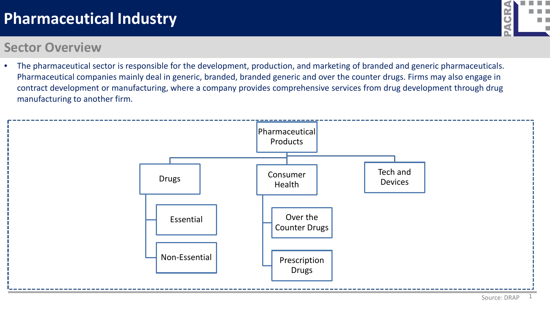#### **Sector Overview**

- **GR** m n
- The pharmaceutical sector is responsible for the development, production, and marketing of branded and generic pharmaceuticals. Pharmaceutical companies mainly deal in generic, branded, branded generic and over the counter drugs. Firms may also engage in contract development or manufacturing, where a company provides comprehensive services from drug development through drug manufacturing to another firm.

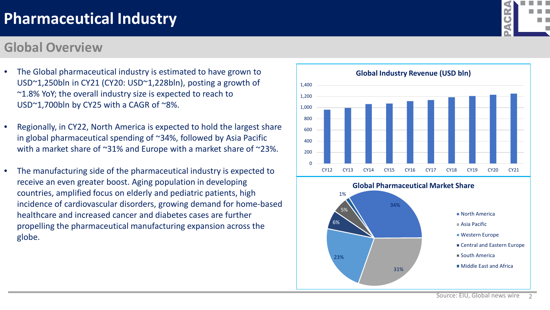#### **Global Overview**

- The Global pharmaceutical industry is estimated to have grown to USD~1,250bln in CY21 (CY20: USD~1,228bln), posting a growth of ~1.8% YoY; the overall industry size is expected to reach to USD~1,700bln by CY25 with a CAGR of ~8%.
- Regionally, in CY22, North America is expected to hold the largest share in global pharmaceutical spending of ~34%, followed by Asia Pacific with a market share of ~31% and Europe with a market share of ~23%.
- The manufacturing side of the pharmaceutical industry is expected to receive an even greater boost. Aging population in developing countries, amplified focus on elderly and pediatric patients, high incidence of cardiovascular disorders, growing demand for home-based healthcare and increased cancer and diabetes cases are further propelling the pharmaceutical manufacturing expansion across the globe.



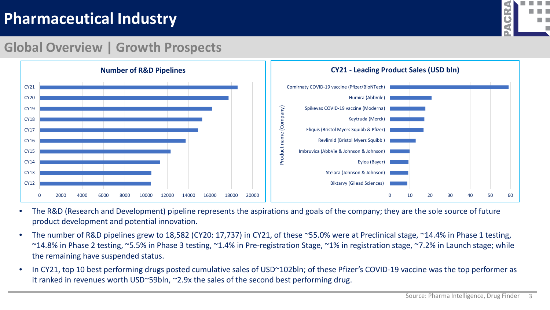

#### **Global Overview | Growth Prospects**



- The R&D (Research and Development) pipeline represents the aspirations and goals of the company; they are the sole source of future product development and potential innovation.
- The number of R&D pipelines grew to 18,582 (CY20: 17,737) in CY21, of these ~55.0% were at Preclinical stage, ~14.4% in Phase 1 testing, ~14.8% in Phase 2 testing, ~5.5% in Phase 3 testing, ~1.4% in Pre-registration Stage, ~1% in registration stage, ~7.2% in Launch stage; while the remaining have suspended status.
- In CY21, top 10 best performing drugs posted cumulative sales of USD~102bln; of these Pfizer's COVID-19 vaccine was the top performer as it ranked in revenues worth USD~59bln, ~2.9x the sales of the second best performing drug.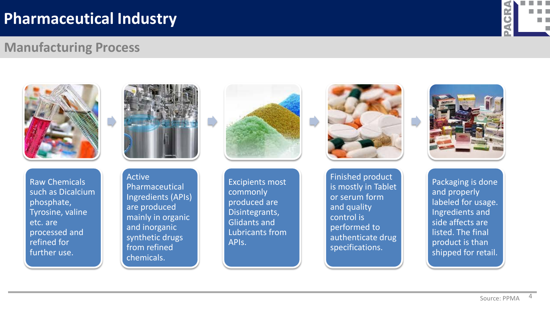

#### **Manufacturing Process**



Raw Chemicals such as Dicalcium phosphate, Tyrosine, valine etc. are processed and refined for further use.



Active Pharmaceutical Ingredients (APIs) are produced mainly in organic and inorganic synthetic drugs from refined chemicals.



Excipients most commonly produced are Disintegrants, Glidants and Lubricants from APIs.



Finished product is mostly in Tablet or serum form and quality control is performed to authenticate drug specifications.



Packaging is done and properly labeled for usage. Ingredients and side affects are listed. The final product is than shipped for retail.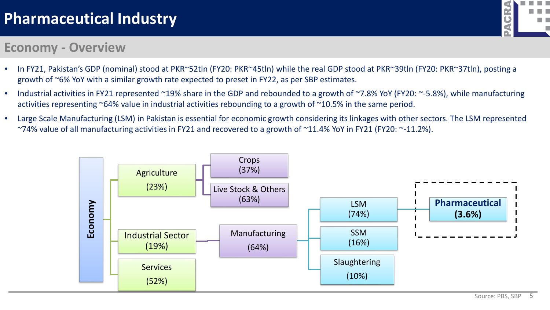## **GR** n n

#### **Economy - Overview**

- In FY21, Pakistan's GDP (nominal) stood at PKR~52tln (FY20: PKR~45tln) while the real GDP stood at PKR~39tln (FY20: PKR~37tln), posting a growth of ~6% YoY with a similar growth rate expected to preset in FY22, as per SBP estimates.
- Industrial activities in FY21 represented ~19% share in the GDP and rebounded to a growth of ~7.8% YoY (FY20: ~-5.8%), while manufacturing activities representing ~64% value in industrial activities rebounding to a growth of ~10.5% in the same period.
- Large Scale Manufacturing (LSM) in Pakistan is essential for economic growth considering its linkages with other sectors. The LSM represented ~74% value of all manufacturing activities in FY21 and recovered to a growth of ~11.4% YoY in FY21 (FY20: ~-11.2%).

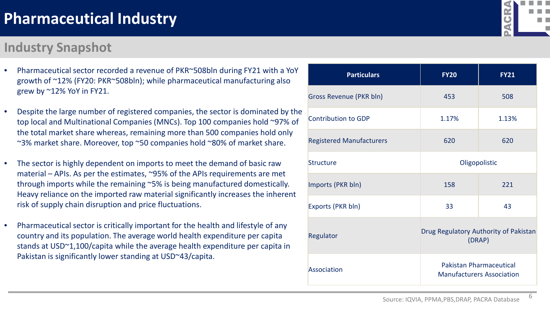#### **Industry Snapshot**

grew by ~12% YoY in FY21.

- Pharmaceutical sector recorded a revenue of PKR~508bln during FY21 with a YoY growth of ~12% (FY20: PKR~508bln); while pharmaceutical manufacturing also
- Despite the large number of registered companies, the sector is dominated by the top local and Multinational Companies (MNCs). Top 100 companies hold ~97% of the total market share whereas, remaining more than 500 companies hold only ~3% market share. Moreover, top ~50 companies hold ~80% of market share.
- The sector is highly dependent on imports to meet the demand of basic raw material – APIs. As per the estimates, ~95% of the APIs requirements are met through imports while the remaining ~5% is being manufactured domestically. Heavy reliance on the imported raw material significantly increases the inherent risk of supply chain disruption and price fluctuations.
- Pharmaceutical sector is critically important for the health and lifestyle of any country and its population. The average world health expenditure per capita stands at USD~1,100/capita while the average health expenditure per capita in Pakistan is significantly lower standing at USD~43/capita.

| <b>Particulars</b>              | <b>FY20</b>                                                        | <b>FY21</b> |  |
|---------------------------------|--------------------------------------------------------------------|-------------|--|
| <b>Gross Revenue (PKR bln)</b>  | 453                                                                | 508         |  |
| <b>Contribution to GDP</b>      | 1.17%                                                              | 1.13%       |  |
| <b>Registered Manufacturers</b> | 620                                                                | 620         |  |
| Structure                       | Oligopolistic                                                      |             |  |
| Imports (PKR bln)               | 158                                                                | 221         |  |
| Exports (PKR bln)               | 33                                                                 | 43          |  |
| Regulator                       | Drug Regulatory Authority of Pakistan<br>(DRAP)                    |             |  |
| Association                     | <b>Pakistan Pharmaceutical</b><br><b>Manufacturers Association</b> |             |  |

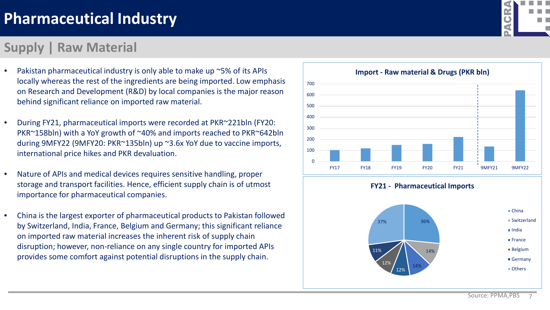#### **Supply | Raw Material**

- Pakistan pharmaceutical industry is only able to make up ~5% of its APIs locally whereas the rest of the ingredients are being imported. Low emphasis on Research and Development (R&D) by local companies is the major reason behind significant reliance on imported raw material.
- During FY21, pharmaceutical imports were recorded at PKR~221bln (FY20: PKR~158bln) with a YoY growth of ~40% and imports reached to PKR~642bln during 9MFY22 (9MFY20: PKR~135bln) up ~3.6x YoY due to vaccine imports, international price hikes and PKR devaluation.
- Nature of APIs and medical devices requires sensitive handling, proper storage and transport facilities. Hence, efficient supply chain is of utmost importance for pharmaceutical companies.
- China is the largest exporter of pharmaceutical products to Pakistan followed by Switzerland, India, France, Belgium and Germany; this significant reliance on imported raw material increases the inherent risk of supply chain disruption; however, non-reliance on any single country for imported APIs provides some comfort against potential disruptions in the supply chain.



14%

12%

12%



Germany **Others**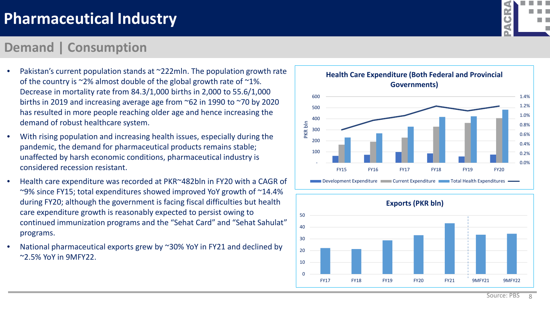#### **Demand | Consumption**

- Pakistan's current population stands at ~222mln. The population growth rate of the country is ~2% almost double of the global growth rate of ~1%. Decrease in mortality rate from 84.3/1,000 births in 2,000 to 55.6/1,000 births in 2019 and increasing average age from ~62 in 1990 to ~70 by 2020 has resulted in more people reaching older age and hence increasing the demand of robust healthcare system.
- With rising population and increasing health issues, especially during the pandemic, the demand for pharmaceutical products remains stable; unaffected by harsh economic conditions, pharmaceutical industry is considered recession resistant.
- Health care expenditure was recorded at PKR~482bln in FY20 with a CAGR of ~9% since FY15; total expenditures showed improved YoY growth of ~14.4% during FY20; although the government is facing fiscal difficulties but health care expenditure growth is reasonably expected to persist owing to continued immunization programs and the "Sehat Card" and "Sehat Sahulat" programs.
- National pharmaceutical exports grew by ~30% YoY in FY21 and declined by ~2.5% YoY in 9MFY22.





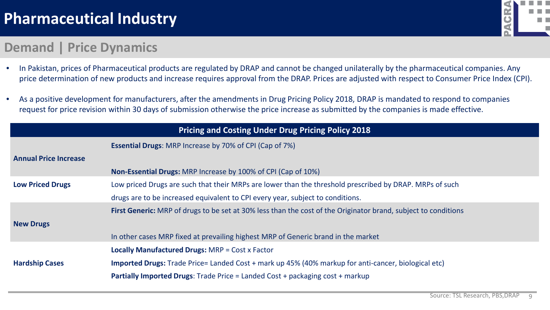

#### **Demand | Price Dynamics**

- In Pakistan, prices of Pharmaceutical products are regulated by DRAP and cannot be changed unilaterally by the pharmaceutical companies. Any price determination of new products and increase requires approval from the DRAP. Prices are adjusted with respect to Consumer Price Index (CPI).
- As a positive development for manufacturers, after the amendments in Drug Pricing Policy 2018, DRAP is mandated to respond to companies request for price revision within 30 days of submission otherwise the price increase as submitted by the companies is made effective.

|                              | <b>Pricing and Costing Under Drug Pricing Policy 2018</b>                                                      |
|------------------------------|----------------------------------------------------------------------------------------------------------------|
|                              | <b>Essential Drugs: MRP Increase by 70% of CPI (Cap of 7%)</b>                                                 |
| <b>Annual Price Increase</b> |                                                                                                                |
|                              | <b>Non-Essential Drugs:</b> MRP Increase by 100% of CPI (Cap of 10%)                                           |
| <b>Low Priced Drugs</b>      | Low priced Drugs are such that their MRPs are lower than the threshold prescribed by DRAP. MRPs of such        |
|                              | drugs are to be increased equivalent to CPI every year, subject to conditions.                                 |
|                              | First Generic: MRP of drugs to be set at 30% less than the cost of the Originator brand, subject to conditions |
| <b>New Drugs</b>             |                                                                                                                |
|                              | In other cases MRP fixed at prevailing highest MRP of Generic brand in the market                              |
|                              | <b>Locally Manufactured Drugs: MRP = Cost x Factor</b>                                                         |
| <b>Hardship Cases</b>        | <b>Imported Drugs:</b> Trade Price= Landed Cost + mark up 45% (40% markup for anti-cancer, biological etc)     |
|                              | <b>Partially Imported Drugs:</b> Trade Price = Landed Cost + packaging cost + markup                           |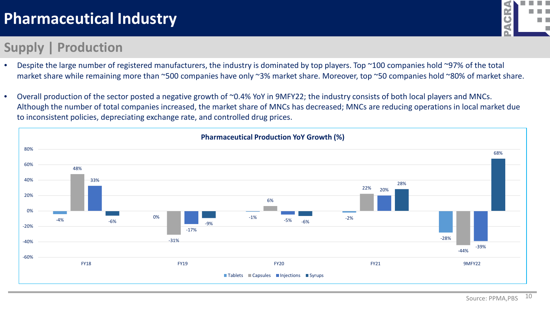## **Supply | Production**



- Despite the large number of registered manufacturers, the industry is dominated by top players. Top ~100 companies hold ~97% of the total market share while remaining more than ~500 companies have only ~3% market share. Moreover, top ~50 companies hold ~80% of market share.
- Overall production of the sector posted a negative growth of ~0.4% YoY in 9MFY22; the industry consists of both local players and MNCs. Although the number of total companies increased, the market share of MNCs has decreased; MNCs are reducing operations in local market due to inconsistent policies, depreciating exchange rate, and controlled drug prices.

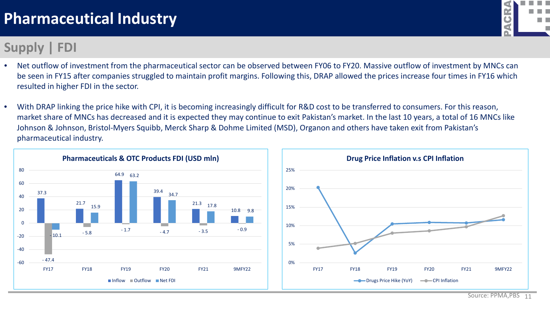## **Supply | FDI**

- Net outflow of investment from the pharmaceutical sector can be observed between FY06 to FY20. Massive outflow of investment by MNCs can be seen in FY15 after companies struggled to maintain profit margins. Following this, DRAP allowed the prices increase four times in FY16 which resulted in higher FDI in the sector.
- With DRAP linking the price hike with CPI, it is becoming increasingly difficult for R&D cost to be transferred to consumers. For this reason, market share of MNCs has decreased and it is expected they may continue to exit Pakistan's market. In the last 10 years, a total of 16 MNCs like Johnson & Johnson, Bristol-Myers Squibb, Merck Sharp & Dohme Limited (MSD), Organon and others have taken exit from Pakistan's pharmaceutical industry.



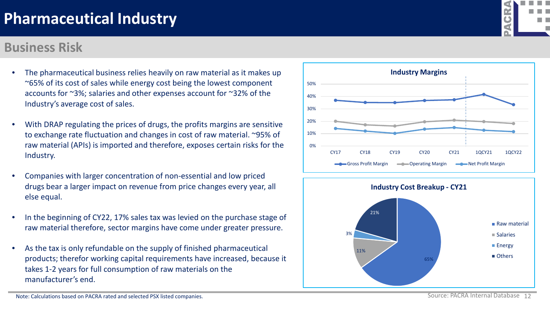#### **Business Risk**

- The pharmaceutical business relies heavily on raw material as it makes up ~65% of its cost of sales while energy cost being the lowest component accounts for ~3%; salaries and other expenses account for ~32% of the Industry's average cost of sales.
- With DRAP regulating the prices of drugs, the profits margins are sensitive to exchange rate fluctuation and changes in cost of raw material. ~95% of raw material (APIs) is imported and therefore, exposes certain risks for the Industry.
- Companies with larger concentration of non-essential and low priced drugs bear a larger impact on revenue from price changes every year, all else equal.
- In the beginning of CY22, 17% sales tax was levied on the purchase stage of raw material therefore, sector margins have come under greater pressure.
- As the tax is only refundable on the supply of finished pharmaceutical products; therefor working capital requirements have increased, because it takes 1-2 years for full consumption of raw materials on the manufacturer's end.







Note: Calculations based on PACRA rated and selected PSX listed companies.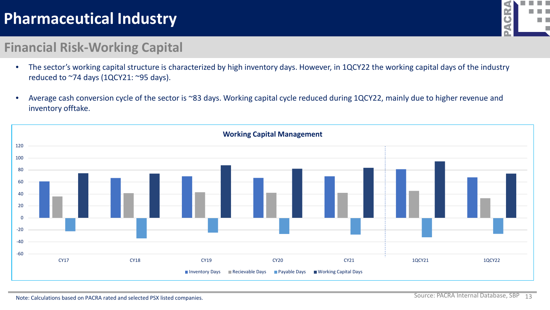

#### **Financial Risk-Working Capital**

- The sector's working capital structure is characterized by high inventory days. However, in 1QCY22 the working capital days of the industry reduced to ~74 days (1QCY21: ~95 days).
- Average cash conversion cycle of the sector is ~83 days. Working capital cycle reduced during 1QCY22, mainly due to higher revenue and inventory offtake.

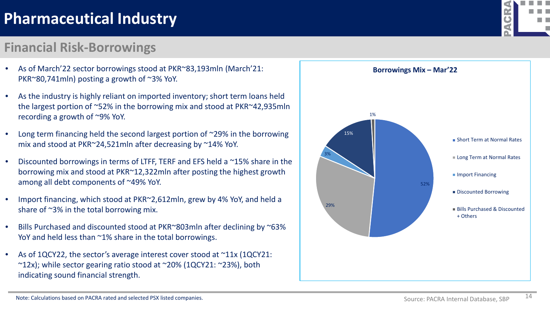## **Financial Risk-Borrowings**

- As of March'22 sector borrowings stood at PKR~83,193mln (March'21: PKR~80,741mln) posting a growth of ~3% YoY.
- As the industry is highly reliant on imported inventory; short term loans held the largest portion of ~52% in the borrowing mix and stood at PKR~42,935mln recording a growth of ~9% YoY.
- Long term financing held the second largest portion of  $\sim$ 29% in the borrowing mix and stood at PKR~24,521mln after decreasing by ~14% YoY.
- Discounted borrowings in terms of LTFF, TERF and EFS held a ~15% share in the borrowing mix and stood at PKR~12,322mln after posting the highest growth among all debt components of ~49% YoY.
- Import financing, which stood at PKR~2,612mln, grew by 4% YoY, and held a share of ~3% in the total borrowing mix.
- Bills Purchased and discounted stood at PKR~803mln after declining by ~63% YoY and held less than ~1% share in the total borrowings.
- As of 1QCY22, the sector's average interest cover stood at ~11x (1QCY21:  $\sim$ 12x); while sector gearing ratio stood at  $\sim$ 20% (1QCY21:  $\sim$ 23%), both indicating sound financial strength.



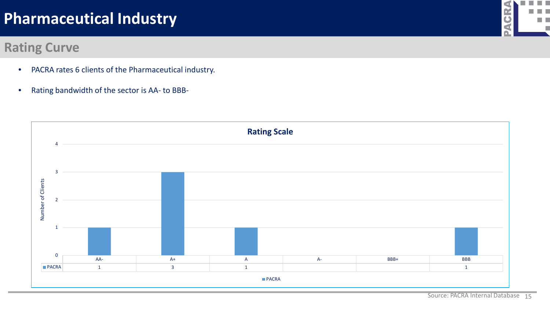#### **Rating Curve**

- PACRA rates 6 clients of the Pharmaceutical industry.
- Rating bandwidth of the sector is AA- to BBB-



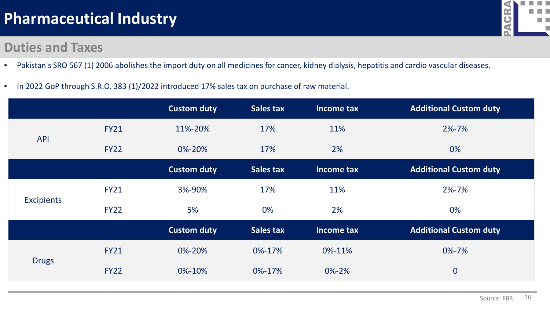#### **Duties and Taxes**



- Pakistan's SRO 567 (1) 2006 abolishes the import duty on all medicines for cancer, kidney dialysis, hepatitis and cardio vascular diseases.
- In 2022 GoP through S.R.O. 383 (1)/2022 introduced 17% sales tax on purchase of raw material.

|                   |             | <b>Custom duty</b> | <b>Sales tax</b> | Income tax  | <b>Additional Custom duty</b> |
|-------------------|-------------|--------------------|------------------|-------------|-------------------------------|
| <b>API</b>        | <b>FY21</b> | 11%-20%            | 17%              | 11%         | $2\% - 7\%$                   |
|                   | <b>FY22</b> | 0%-20%             | 17%              | 2%          | 0%                            |
|                   |             | <b>Custom duty</b> | <b>Sales tax</b> | Income tax  | <b>Additional Custom duty</b> |
| <b>Excipients</b> | <b>FY21</b> | 3%-90%             | 17%              | 11%         | 2%-7%                         |
|                   | <b>FY22</b> | 5%                 | 0%               | 2%          | 0%                            |
|                   |             | <b>Custom duty</b> | <b>Sales tax</b> | Income tax  | <b>Additional Custom duty</b> |
| <b>Drugs</b>      | <b>FY21</b> | 0%-20%             | 0%-17%           | 0%-11%      | 0%-7%                         |
|                   | <b>FY22</b> | 0%-10%             | 0%-17%           | $0\% - 2\%$ | $\boldsymbol{0}$              |
|                   |             |                    |                  |             |                               |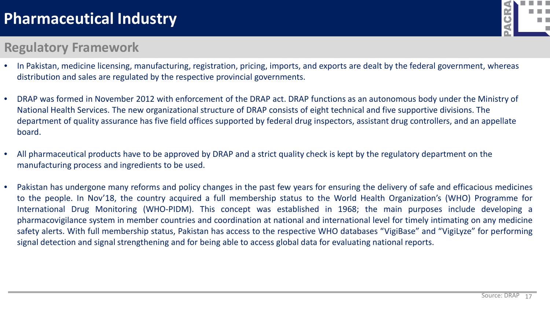#### **Regulatory Framework**

- In Pakistan, medicine licensing, manufacturing, registration, pricing, imports, and exports are dealt by the federal government, whereas distribution and sales are regulated by the respective provincial governments.
- DRAP was formed in November 2012 with enforcement of the DRAP act. DRAP functions as an autonomous body under the Ministry of National Health Services. The new organizational structure of DRAP consists of eight technical and five supportive divisions. The department of quality assurance has five field offices supported by federal drug inspectors, assistant drug controllers, and an appellate board.
- All pharmaceutical products have to be approved by DRAP and a strict quality check is kept by the regulatory department on the manufacturing process and ingredients to be used.
- Pakistan has undergone many reforms and policy changes in the past few years for ensuring the delivery of safe and efficacious medicines to the people. In Nov'18, the country acquired a full membership status to the World Health Organization's (WHO) Programme for International Drug Monitoring (WHO-PIDM). This concept was established in 1968; the main purposes include developing a pharmacovigilance system in member countries and coordination at national and international level for timely intimating on any medicine safety alerts. With full membership status, Pakistan has access to the respective WHO databases "VigiBase" and "VigiLyze" for performing signal detection and signal strengthening and for being able to access global data for evaluating national reports.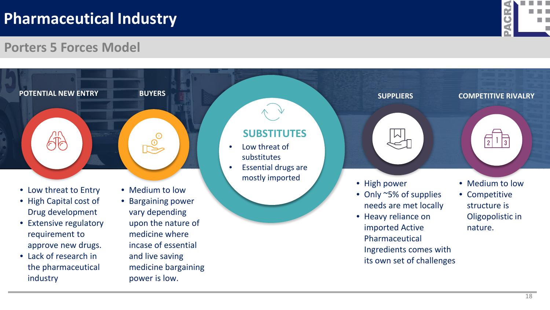

#### **Porters 5 Forces Model**

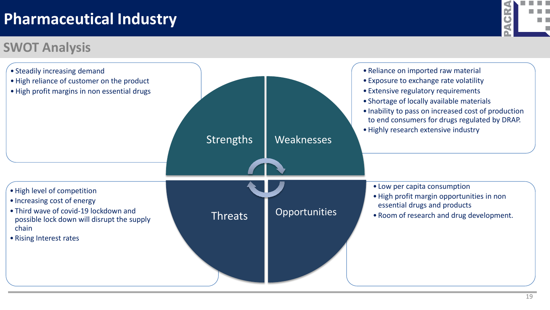## **SWOT Analysis**



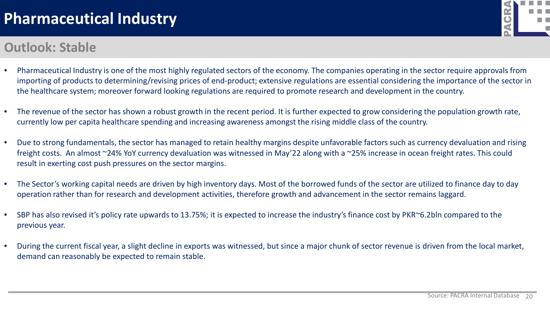#### **Outlook: Stable**



- Pharmaceutical Industry is one of the most highly regulated sectors of the economy. The companies operating in the sector require approvals from importing of products to determining/revising prices of end-product; extensive regulations are essential considering the importance of the sector in the healthcare system; moreover forward looking regulations are required to promote research and development in the country.
- The revenue of the sector has shown a robust growth in the recent period. It is further expected to grow considering the population growth rate, currently low per capita healthcare spending and increasing awareness amongst the rising middle class of the country.
- Due to strong fundamentals, the sector has managed to retain healthy margins despite unfavorable factors such as currency devaluation and rising freight costs. An almost ~24% YoY currency devaluation was witnessed in May'22 along with a ~25% increase in ocean freight rates. This could result in exerting cost push pressures on the sector margins.
- The Sector's working capital needs are driven by high inventory days. Most of the borrowed funds of the sector are utilized to finance day to day operation rather than for research and development activities, therefore growth and advancement in the sector remains laggard.
- SBP has also revised it's policy rate upwards to 13.75%; it is expected to increase the industry's finance cost by PKR~6.2bln compared to the previous year.
- During the current fiscal year, a slight decline in exports was witnessed, but since a major chunk of sector revenue is driven from the local market, demand can reasonably be expected to remain stable.